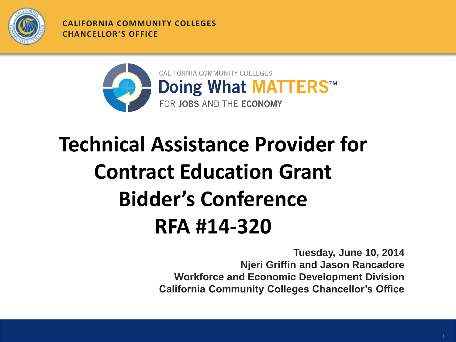

**CALIFORNIA COMMUNITY COLLEGES CHANCELLOR'S OFFICE**



# **Technical Assistance Provider for Contract Education Grant Bidder's Conference RFA #14-320**

**Tuesday, June 10, 2014 Njeri Griffin and Jason Rancadore Workforce and Economic Development Division California Community Colleges Chancellor's Office**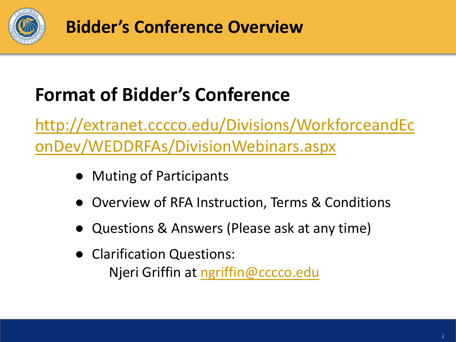

**Bidder's Conference Overview**

### **Format of Bidder's Conference**

[http://extranet.cccco.edu/Divisions/WorkforceandEc](http://extranet.cccco.edu/Divisions/WorkforceandEconDev/WEDDRFAs/DivisionWebinars.aspx) [onDev/WEDDRFAs/DivisionWebinars.aspx](http://extranet.cccco.edu/Divisions/WorkforceandEconDev/WEDDRFAs/DivisionWebinars.aspx)

- Muting of Participants
- Overview of RFA Instruction, Terms & Conditions
- Questions & Answers (Please ask at any time)
- Clarification Questions: Njeri Griffin at [ngriffin@cccco.edu](mailto:jdunn@cccco.edu)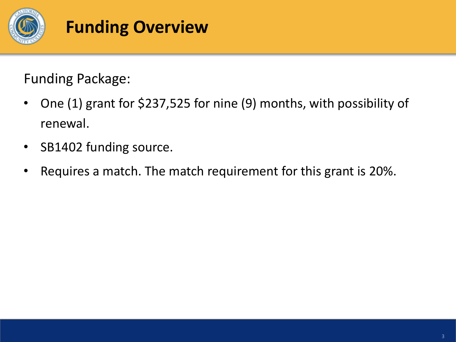

#### **Funding Overview**

Funding Package:

- One (1) grant for \$237,525 for nine (9) months, with possibility of renewal.
- SB1402 funding source.
- Requires a match. The match requirement for this grant is 20%.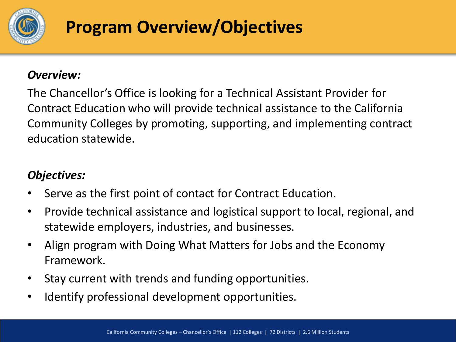

#### **Program Overview/Objectives**

#### *Overview:*

The Chancellor's Office is looking for a Technical Assistant Provider for Contract Education who will provide technical assistance to the California Community Colleges by promoting, supporting, and implementing contract education statewide.

#### *Objectives:*

- Serve as the first point of contact for Contract Education.
- Provide technical assistance and logistical support to local, regional, and statewide employers, industries, and businesses.
- Align program with Doing What Matters for Jobs and the Economy Framework.
- Stay current with trends and funding opportunities.
- Identify professional development opportunities.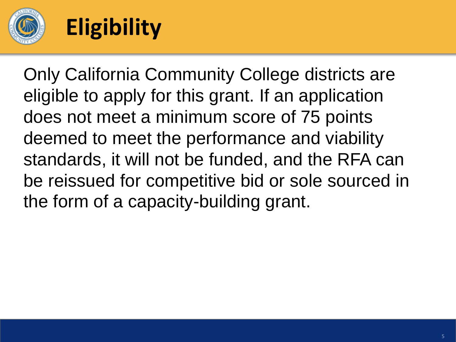

## **Eligibility**

Only California Community College districts are eligible to apply for this grant. If an application does not meet a minimum score of 75 points deemed to meet the performance and viability standards, it will not be funded, and the RFA can be reissued for competitive bid or sole sourced in the form of a capacity-building grant.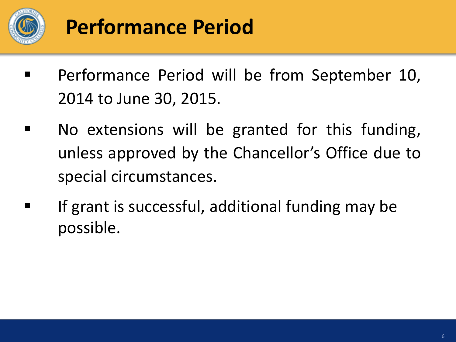

## **Performance Period**

- Performance Period will be from September 10, 2014 to June 30, 2015.
- **No extensions will be granted for this funding,** unless approved by the Chancellor's Office due to special circumstances.
- **If grant is successful, additional funding may be** possible.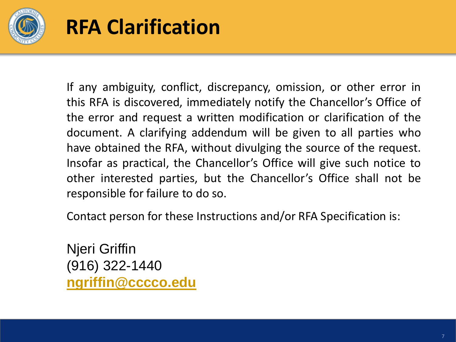

### **RFA Clarification**

If any ambiguity, conflict, discrepancy, omission, or other error in this RFA is discovered, immediately notify the Chancellor's Office of the error and request a written modification or clarification of the document. A clarifying addendum will be given to all parties who have obtained the RFA, without divulging the source of the request. Insofar as practical, the Chancellor's Office will give such notice to other interested parties, but the Chancellor's Office shall not be responsible for failure to do so.

Contact person for these Instructions and/or RFA Specification is:

Njeri Griffin (916) 322-1440 **[ngriffin@cccco.edu](mailto:asingleton@cccco.edu)**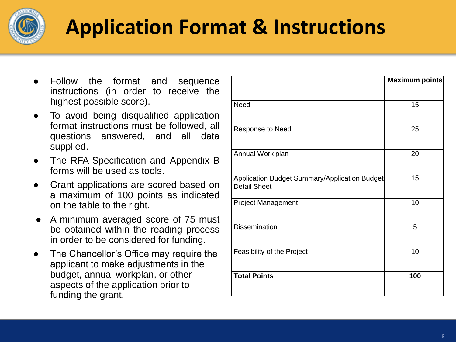

## **Application Format & Instructions**

- Follow the format and sequence instructions (in order to receive the highest possible score).
- To avoid being disqualified application format instructions must be followed, all questions answered, and all data supplied.
- The RFA Specification and Appendix B forms will be used as tools.
- Grant applications are scored based on a maximum of 100 points as indicated on the table to the right.
- A minimum averaged score of 75 must be obtained within the reading process in order to be considered for funding.
- The Chancellor's Office may require the applicant to make adjustments in the budget, annual workplan, or other aspects of the application prior to funding the grant.

|                                                                      | Maximum points |
|----------------------------------------------------------------------|----------------|
|                                                                      |                |
| <b>Need</b>                                                          | 15             |
| Response to Need                                                     | 25             |
| Annual Work plan                                                     | 20             |
| Application Budget Summary/Application Budget<br><b>Detail Sheet</b> | 15             |
| <b>Project Management</b>                                            | 10             |
| <b>Dissemination</b>                                                 | 5              |
| Feasibility of the Project                                           | 10             |
| <b>Total Points</b>                                                  | 100            |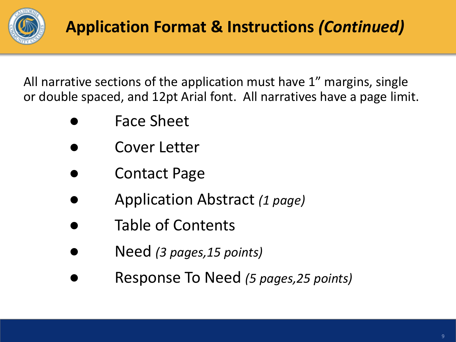

All narrative sections of the application must have 1" margins, single or double spaced, and 12pt Arial font. All narratives have a page limit.

- **Face Sheet**
- Cover Letter
- **Contact Page**
- Application Abstract *(1 page)*
- Table of Contents
- Need *(3 pages,15 points)*
- Response To Need *(5 pages,25 points)*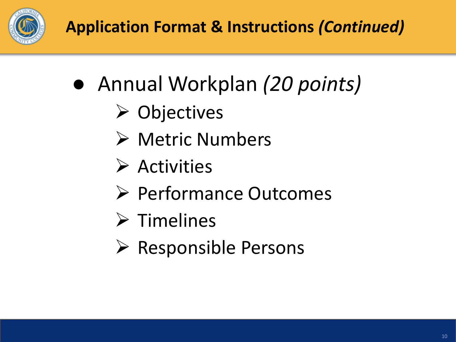

- Annual Workplan *(20 points)*
	- **≻ Objectives**
	- Metric Numbers
	- $\triangleright$  Activities
	- **► Performance Outcomes**
	- $\triangleright$  Timelines
	- $\triangleright$  Responsible Persons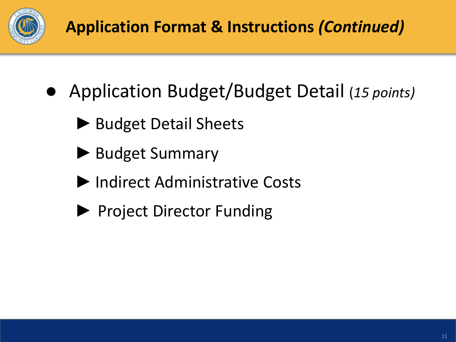

#### **Application Format & Instructions** *(Continued)*

- Application Budget/Budget Detail (*15 points)*
	- ▶ Budget Detail Sheets
	- ▶ Budget Summary
	- ►Indirect Administrative Costs
	- ▶ Project Director Funding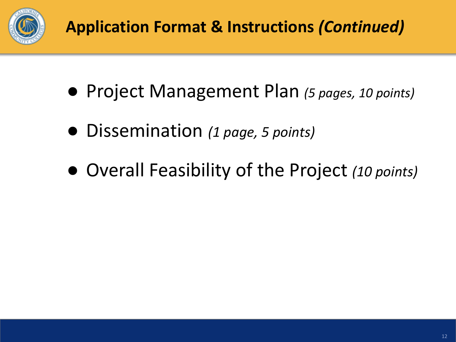

#### **Application Format & Instructions** *(Continued)*

- Project Management Plan *(5 pages, 10 points)*
- Dissemination *(1 page, 5 points)*
- Overall Feasibility of the Project *(10 points)*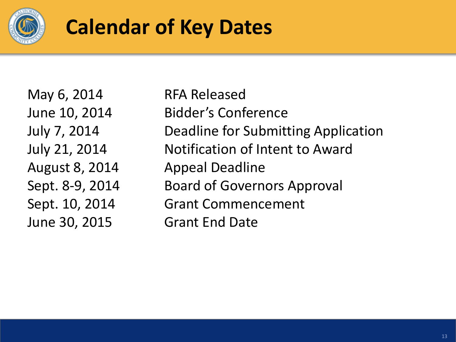

### **Calendar of Key Dates**

May 6, 2014 RFA Released June 30, 2015 Grant End Date

June 10, 2014 Bidder's Conference July 7, 2014 Deadline for Submitting Application July 21, 2014 Notification of Intent to Award August 8, 2014 Appeal Deadline Sept. 8-9, 2014 Board of Governors Approval Sept. 10, 2014 Grant Commencement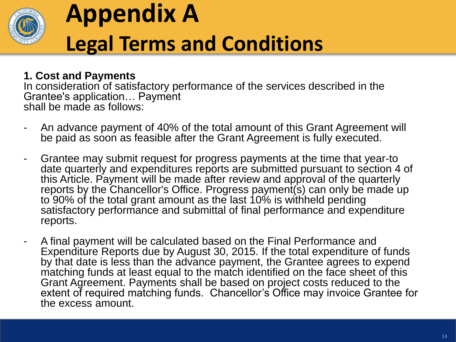

# **Appendix A Legal Terms and Conditions**

#### **1. Cost and Payments**

In consideration of satisfactory performance of the services described in the Grantee's application… Payment shall be made as follows:

- An advance payment of 40% of the total amount of this Grant Agreement will be paid as soon as feasible after the Grant Agreement is fully executed.
- Grantee may submit request for progress payments at the time that year-to date quarterly and expenditures reports are submitted pursuant to section 4 of this Article. Payment will be made after review and approval of the quarterly reports by the Chancellor's Office. Progress payment(s) can only be made up to 90% of the total grant amount as the last 10% is withheld pending satisfactory performance and submittal of final performance and expenditure reports.
- A final payment will be calculated based on the Final Performance and Expenditure Reports due by August 30, 2015. If the total expenditure of funds by that date is less than the advance payment, the Grantee agrees to expend matching funds at least equal to the match identified on the face sheet of this Grant Agreement. Payments shall be based on project costs reduced to the extent of required matching funds. Chancellor's Office may invoice Grantee for the excess amount.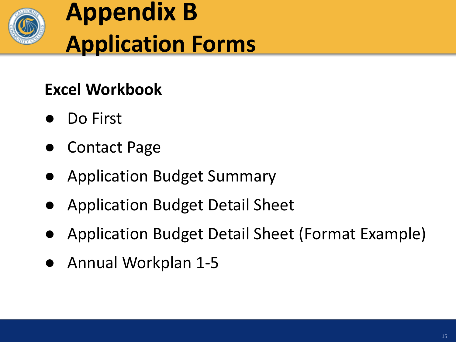

# **Appendix B Application Forms**

#### **Excel Workbook**

- Do First
- **Contact Page**
- Application Budget Summary
- Application Budget Detail Sheet
- Application Budget Detail Sheet (Format Example)
- Annual Workplan 1-5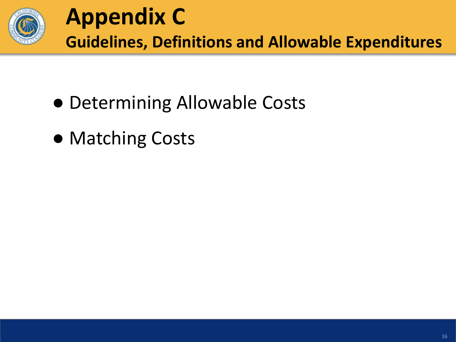

- Determining Allowable Costs
- Matching Costs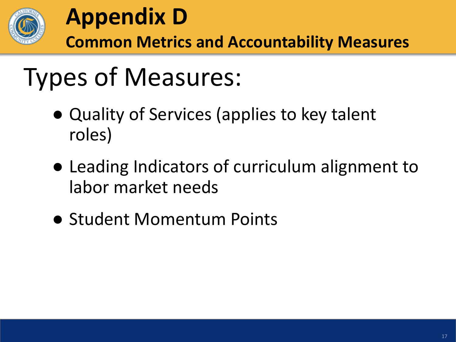

### **Appendix D Common Metrics and Accountability Measures**

# Types of Measures:

- Quality of Services (applies to key talent roles)
- Leading Indicators of curriculum alignment to labor market needs
- Student Momentum Points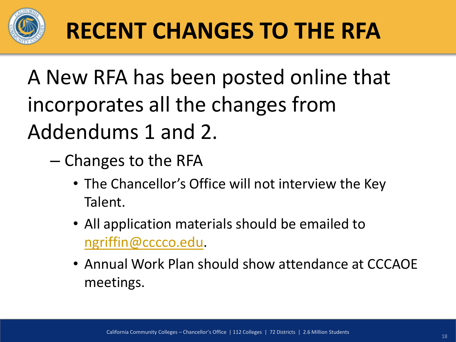

# **RECENT CHANGES TO THE RFA**

# A New RFA has been posted online that incorporates all the changes from Addendums 1 and 2.

- Changes to the RFA
	- The Chancellor's Office will not interview the Key Talent.
	- All application materials should be emailed to [ngriffin@cccco.edu](mailto:ngriffin@cccco.edu).
	- Annual Work Plan should show attendance at CCCAOE meetings.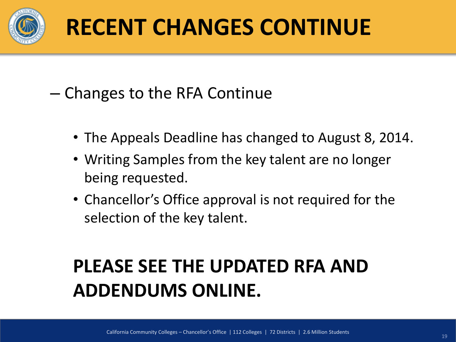

# **RECENT CHANGES CONTINUE**

– Changes to the RFA Continue

- The Appeals Deadline has changed to August 8, 2014.
- Writing Samples from the key talent are no longer being requested.
- Chancellor's Office approval is not required for the selection of the key talent.

### **PLEASE SEE THE UPDATED RFA AND ADDENDUMS ONLINE.**